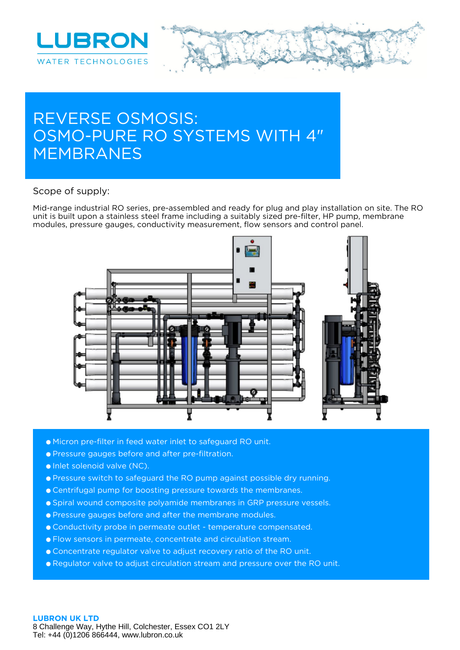

# **REVERSE OSMOSIS: OSMO-PURE RO SYSTEMS WITH 4" MEMBRANES**

#### **Scope of supply:**

Mid-range industrial RO series, pre-assembled and ready for plug and play installation on site. The RO unit is built upon a stainless steel frame including a suitably sized pre-filter, HP pump, membrane modules, pressure gauges, conductivity measurement, flow sensors and control panel.



- Micron pre-filter in feed water inlet to safeguard RO unit.
- Pressure gauges before and after pre-filtration.
- Inlet solenoid valve (NC).
- Pressure switch to safeguard the RO pump against possible dry running.
- Centrifugal pump for boosting pressure towards the membranes.
- Spiral wound composite polyamide membranes in GRP pressure vessels.
- Pressure gauges before and after the membrane modules.
- Conductivity probe in permeate outlet temperature compensated.
- Flow sensors in permeate, concentrate and circulation stream.
- Concentrate regulator valve to adjust recovery ratio of the RO unit.
- Regulator valve to adjust circulation stream and pressure over the RO unit.